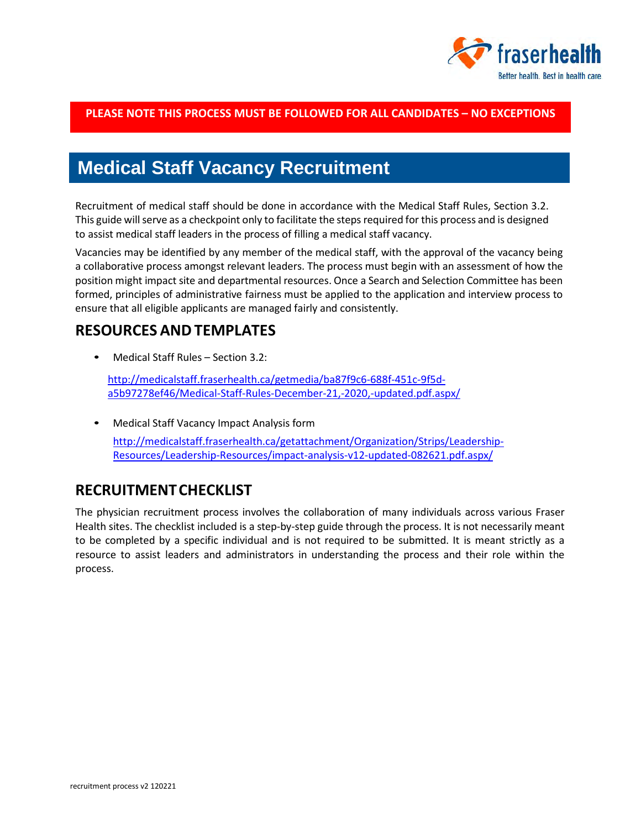

### **PLEASE NOTE THIS PROCESS MUST BE FOLLOWED FOR ALL CANDIDATES – NO EXCEPTIONS**

# **Medical Staff Vacancy Recruitment**

Recruitment of medical staff should be done in accordance with the Medical Staff Rules, Section 3.2. This guide will serve as a checkpoint only to facilitate the steps required for this process and is designed to assist medical staff leaders in the process of filling a medical staff vacancy.

Vacancies may be identified by any member of the medical staff, with the approval of the vacancy being a collaborative process amongst relevant leaders. The process must begin with an assessment of how the position might impact site and departmental resources. Once a Search and Selection Committee has been formed, principles of administrative fairness must be applied to the application and interview process to ensure that all eligible applicants are managed fairly and consistently.

## **RESOURCES AND TEMPLATES**

• Medical Staff Rules – Section 3.2:

[http://medicalstaff.fraserhealth.ca/getmedia/ba87f9c6-688f-451c-9f5d](http://medicalstaff.fraserhealth.ca/getmedia/ba87f9c6-688f-451c-9f5d-a5b97278ef46/Medical-Staff-Rules-December-21,-2020,-updated.pdf.aspx/)[a5b97278ef46/Medical-Staff-Rules-December-21,-2020,-updated.pdf.aspx/](http://medicalstaff.fraserhealth.ca/getmedia/ba87f9c6-688f-451c-9f5d-a5b97278ef46/Medical-Staff-Rules-December-21,-2020,-updated.pdf.aspx/)

• Medical Staff Vacancy Impact Analysis form [http://medicalstaff.fraserhealth.ca/getattachment/Organization/Strips/Leadership-](http://medicalstaff.fraserhealth.ca/getattachment/Organization/Strips/Leadership-Resources/Leadership-Resources/impact-analysis-v12-updated-082621.pdf.aspx/)[Resources/Leadership-Resources/impact-analysis-v12-updated-082621.pdf.aspx/](http://medicalstaff.fraserhealth.ca/getattachment/Organization/Strips/Leadership-Resources/Leadership-Resources/impact-analysis-v12-updated-082621.pdf.aspx/)

# **RECRUITMENTCHECKLIST**

The physician recruitment process involves the collaboration of many individuals across various Fraser Health sites. The checklist included is a step-by-step guide through the process. It is not necessarily meant to be completed by a specific individual and is not required to be submitted. It is meant strictly as a resource to assist leaders and administrators in understanding the process and their role within the process.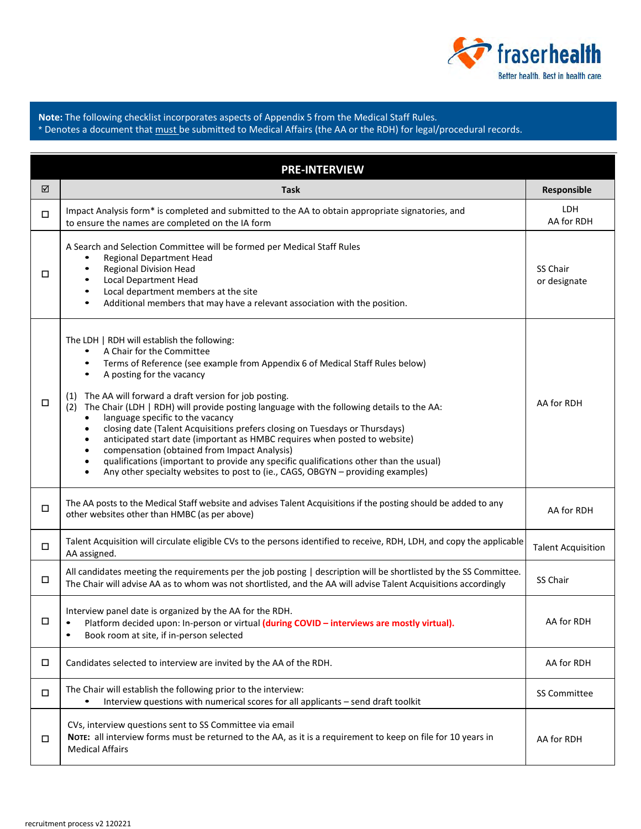

**RECRUITMENT CHECKLIST Note:** The following checklist incorporates aspects of Appendix 5 from the Medical Staff Rules. \* Denotes a document that must be submitted to Medical Affairs (the AA or the RDH) for legal/procedural records.

| <b>PRE-INTERVIEW</b> |                                                                                                                                                                                                                                                                                                                                                                                                                                                                                                                                                                                                                                                                                                                                                                                                                                                    |                           |  |
|----------------------|----------------------------------------------------------------------------------------------------------------------------------------------------------------------------------------------------------------------------------------------------------------------------------------------------------------------------------------------------------------------------------------------------------------------------------------------------------------------------------------------------------------------------------------------------------------------------------------------------------------------------------------------------------------------------------------------------------------------------------------------------------------------------------------------------------------------------------------------------|---------------------------|--|
| ☑                    | Task                                                                                                                                                                                                                                                                                                                                                                                                                                                                                                                                                                                                                                                                                                                                                                                                                                               | Responsible               |  |
| $\Box$               | Impact Analysis form* is completed and submitted to the AA to obtain appropriate signatories, and<br>to ensure the names are completed on the IA form                                                                                                                                                                                                                                                                                                                                                                                                                                                                                                                                                                                                                                                                                              | LDH<br>AA for RDH         |  |
| □                    | A Search and Selection Committee will be formed per Medical Staff Rules<br><b>Regional Department Head</b><br><b>Regional Division Head</b><br>$\bullet$<br><b>Local Department Head</b><br>Local department members at the site<br>٠<br>Additional members that may have a relevant association with the position.                                                                                                                                                                                                                                                                                                                                                                                                                                                                                                                                | SS Chair<br>or designate  |  |
| □                    | The LDH   RDH will establish the following:<br>A Chair for the Committee<br>Terms of Reference (see example from Appendix 6 of Medical Staff Rules below)<br>٠<br>A posting for the vacancy<br>$\bullet$<br>The AA will forward a draft version for job posting.<br>(1)<br>The Chair (LDH   RDH) will provide posting language with the following details to the AA:<br>(2)<br>language specific to the vacancy<br>$\bullet$<br>closing date (Talent Acquisitions prefers closing on Tuesdays or Thursdays)<br>٠<br>anticipated start date (important as HMBC requires when posted to website)<br>٠<br>compensation (obtained from Impact Analysis)<br>٠<br>qualifications (important to provide any specific qualifications other than the usual)<br>$\bullet$<br>Any other specialty websites to post to (ie., CAGS, OBGYN - providing examples) | AA for RDH                |  |
| $\Box$               | The AA posts to the Medical Staff website and advises Talent Acquisitions if the posting should be added to any<br>other websites other than HMBC (as per above)                                                                                                                                                                                                                                                                                                                                                                                                                                                                                                                                                                                                                                                                                   | AA for RDH                |  |
| $\Box$               | Talent Acquisition will circulate eligible CVs to the persons identified to receive, RDH, LDH, and copy the applicable<br>AA assigned.                                                                                                                                                                                                                                                                                                                                                                                                                                                                                                                                                                                                                                                                                                             | <b>Talent Acquisition</b> |  |
| $\Box$               | All candidates meeting the requirements per the job posting   description will be shortlisted by the SS Committee.<br>The Chair will advise AA as to whom was not shortlisted, and the AA will advise Talent Acquisitions accordingly                                                                                                                                                                                                                                                                                                                                                                                                                                                                                                                                                                                                              | SS Chair                  |  |
| П                    | Interview panel date is organized by the AA for the RDH.<br>Platform decided upon: In-person or virtual (during COVID - interviews are mostly virtual).<br>Book room at site, if in-person selected<br>$\bullet$                                                                                                                                                                                                                                                                                                                                                                                                                                                                                                                                                                                                                                   | AA for RDH                |  |
| $\Box$               | Candidates selected to interview are invited by the AA of the RDH.                                                                                                                                                                                                                                                                                                                                                                                                                                                                                                                                                                                                                                                                                                                                                                                 | AA for RDH                |  |
| $\Box$               | The Chair will establish the following prior to the interview:<br>Interview questions with numerical scores for all applicants - send draft toolkit<br>٠                                                                                                                                                                                                                                                                                                                                                                                                                                                                                                                                                                                                                                                                                           | SS Committee              |  |
| □                    | CVs, interview questions sent to SS Committee via email<br>NOTE: all interview forms must be returned to the AA, as it is a requirement to keep on file for 10 years in<br><b>Medical Affairs</b>                                                                                                                                                                                                                                                                                                                                                                                                                                                                                                                                                                                                                                                  | AA for RDH                |  |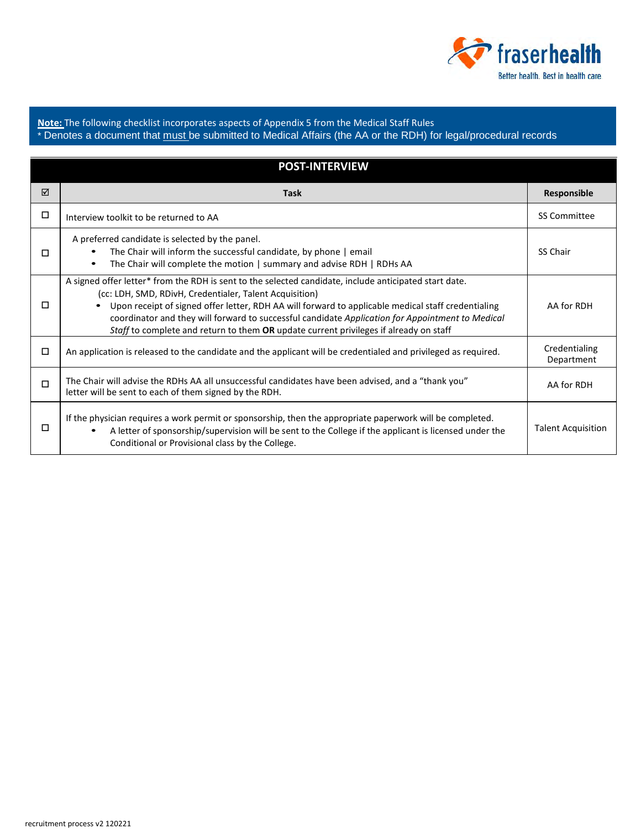

**Note:** The following checklist incorporates aspects of Appendix 5 from the Medical Staff Rules \* Denotes a document that <u>must </u>be submitted to Medical Affairs (the AA or the RDH) for legal/procedural records

**RECRUITMENT CHECKLIST**

| <b>POST-INTERVIEW</b> |                                                                                                                                                                                                                                                                                                                                                                                                                                                                      |                             |  |
|-----------------------|----------------------------------------------------------------------------------------------------------------------------------------------------------------------------------------------------------------------------------------------------------------------------------------------------------------------------------------------------------------------------------------------------------------------------------------------------------------------|-----------------------------|--|
| ☑                     | <b>Task</b>                                                                                                                                                                                                                                                                                                                                                                                                                                                          | Responsible                 |  |
| ◻                     | Interview toolkit to be returned to AA                                                                                                                                                                                                                                                                                                                                                                                                                               | <b>SS Committee</b>         |  |
| П                     | A preferred candidate is selected by the panel.<br>The Chair will inform the successful candidate, by phone   email<br>٠<br>The Chair will complete the motion   summary and advise RDH   RDHs AA<br>$\bullet$                                                                                                                                                                                                                                                       | SS Chair                    |  |
| □                     | A signed offer letter* from the RDH is sent to the selected candidate, include anticipated start date.<br>(cc: LDH, SMD, RDivH, Credentialer, Talent Acquisition)<br>Upon receipt of signed offer letter, RDH AA will forward to applicable medical staff credentialing<br>coordinator and they will forward to successful candidate Application for Appointment to Medical<br>Staff to complete and return to them OR update current privileges if already on staff | AA for RDH                  |  |
| □                     | An application is released to the candidate and the applicant will be credentialed and privileged as required.                                                                                                                                                                                                                                                                                                                                                       | Credentialing<br>Department |  |
| $\Box$                | The Chair will advise the RDHs AA all unsuccessful candidates have been advised, and a "thank you"<br>letter will be sent to each of them signed by the RDH.                                                                                                                                                                                                                                                                                                         | AA for RDH                  |  |
| □                     | If the physician requires a work permit or sponsorship, then the appropriate paperwork will be completed.<br>A letter of sponsorship/supervision will be sent to the College if the applicant is licensed under the<br>$\bullet$<br>Conditional or Provisional class by the College.                                                                                                                                                                                 | <b>Talent Acquisition</b>   |  |